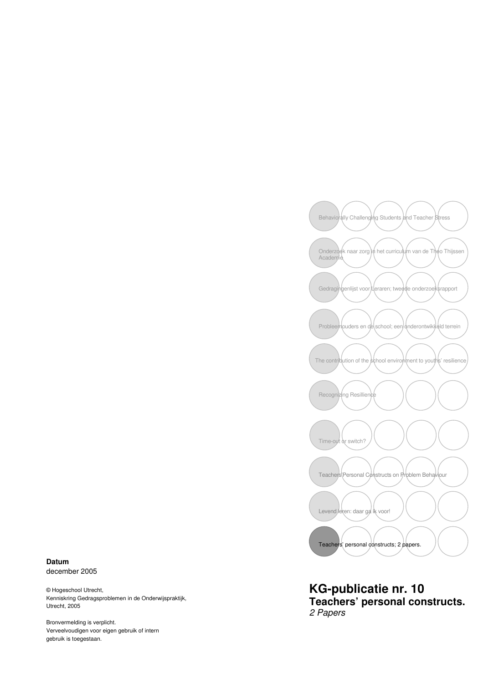

**KG-publicatie nr. 10 Teachers' personal constructs.**  2 Papers

**Datum**  december 2005

© Hogeschool Utrecht, Kenniskring Gedragsproblemen in de Onderwijspraktijk, Utrecht, 2005

Bronvermelding is verplicht. Verveelvoudigen voor eigen gebruik of intern gebruik is toegestaan.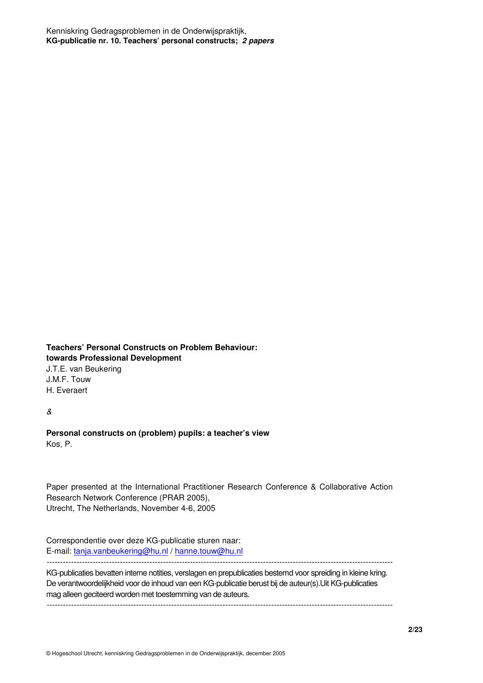**Teachers' Personal Constructs on Problem Behaviour: towards Professional Development** J.T.E. van Beukering J.M.F. Touw

H. Everaert

&

**Personal constructs on (problem) pupils: a teacher's view**  Kos, P.

Paper presented at the International Practitioner Research Conference & Collaborative Action Research Network Conference (PRAR 2005), Utrecht, The Netherlands, November 4-6, 2005

Correspondentie over deze KG-publicatie sturen naar: E-mail: tanja.vanbeukering@hu.nl / hanne.touw@hu.nl -------------------------------------------------------------------------------------------------------------------------------- KG-publicaties bevatten interne notities, verslagen en prepublicaties bestemd voor spreiding in kleine kring.

De verantwoordelijkheid voor de inhoud van een KG-publicatie berust bij de auteur(s).Uit KG-publicaties mag alleen geciteerd worden met toestemming van de auteurs.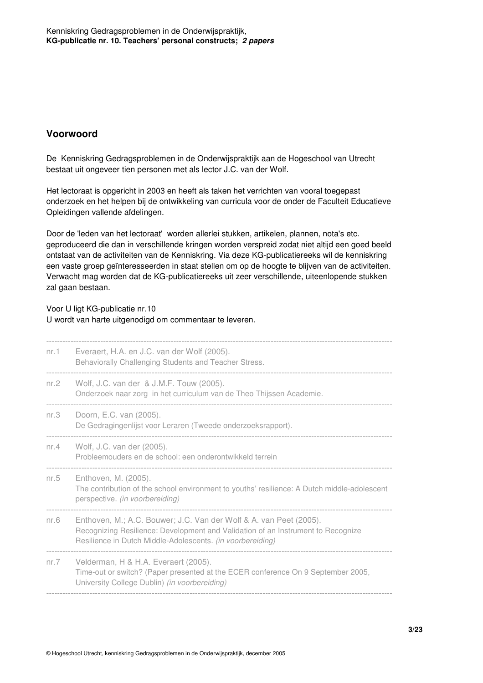## **Voorwoord**

De Kenniskring Gedragsproblemen in de Onderwijspraktijk aan de Hogeschool van Utrecht bestaat uit ongeveer tien personen met als lector J.C. van der Wolf.

Het lectoraat is opgericht in 2003 en heeft als taken het verrichten van vooral toegepast onderzoek en het helpen bij de ontwikkeling van curricula voor de onder de Faculteit Educatieve Opleidingen vallende afdelingen.

Door de 'leden van het lectoraat' worden allerlei stukken, artikelen, plannen, nota's etc. geproduceerd die dan in verschillende kringen worden verspreid zodat niet altijd een goed beeld ontstaat van de activiteiten van de Kenniskring. Via deze KG-publicatiereeks wil de kenniskring een vaste groep geïnteresseerden in staat stellen om op de hoogte te blijven van de activiteiten. Verwacht mag worden dat de KG-publicatiereeks uit zeer verschillende, uiteenlopende stukken zal gaan bestaan.

Voor U ligt KG-publicatie nr.10

#### U wordt van harte uitgenodigd om commentaar te leveren.

| nr.1    | Everaert, H.A. en J.C. van der Wolf (2005).<br>Behaviorally Challenging Students and Teacher Stress.                                                                                                                 |
|---------|----------------------------------------------------------------------------------------------------------------------------------------------------------------------------------------------------------------------|
| nr. $2$ | Wolf, J.C. van der & J.M.F. Touw (2005).<br>Onderzoek naar zorg in het curriculum van de Theo Thijssen Academie.                                                                                                     |
| nr.3    | Doorn, E.C. van (2005).<br>De Gedragingenlijst voor Leraren (Tweede onderzoeksrapport).                                                                                                                              |
| nr. $4$ | Wolf, J.C. van der (2005).<br>Probleemouders en de school: een onderontwikkeld terrein                                                                                                                               |
| nr. $5$ | Enthoven, M. (2005).<br>The contribution of the school environment to youths' resilience: A Dutch middle-adolescent<br>perspective. (in voorbereiding)                                                               |
| nr.6    | Enthoven, M.; A.C. Bouwer; J.C. Van der Wolf & A. van Peet (2005).<br>Recognizing Resilience: Development and Validation of an Instrument to Recognize<br>Resilience in Dutch Middle-Adolescents. (in voorbereiding) |
| nr. $7$ | Velderman, H & H.A. Everaert (2005).<br>Time-out or switch? (Paper presented at the ECER conference On 9 September 2005,<br>University College Dublin) (in voorbereiding)                                            |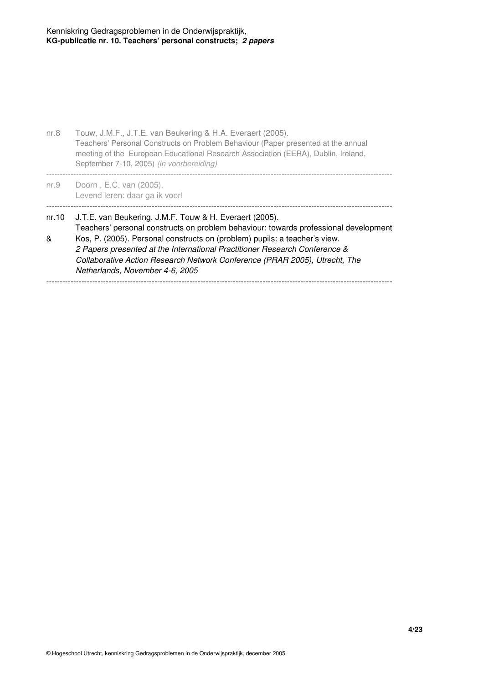| nr.8       | Touw, J.M.F., J.T.E. van Beukering & H.A. Everaert (2005).<br>Teachers' Personal Constructs on Problem Behaviour (Paper presented at the annual<br>meeting of the European Educational Research Association (EERA), Dublin, Ireland,<br>September 7-10, 2005) (in voorbereiding)                                                                                                                                             |
|------------|------------------------------------------------------------------------------------------------------------------------------------------------------------------------------------------------------------------------------------------------------------------------------------------------------------------------------------------------------------------------------------------------------------------------------|
| nr.9       | Doorn, E.C. van (2005).<br>Levend leren: daar ga ik voor!                                                                                                                                                                                                                                                                                                                                                                    |
| nr.10<br>& | J.T.E. van Beukering, J.M.F. Touw & H. Everaert (2005).<br>Teachers' personal constructs on problem behaviour: towards professional development<br>Kos, P. (2005). Personal constructs on (problem) pupils: a teacher's view.<br>2 Papers presented at the International Practitioner Research Conference &<br>Collaborative Action Research Network Conference (PRAR 2005), Utrecht, The<br>Netherlands, November 4-6, 2005 |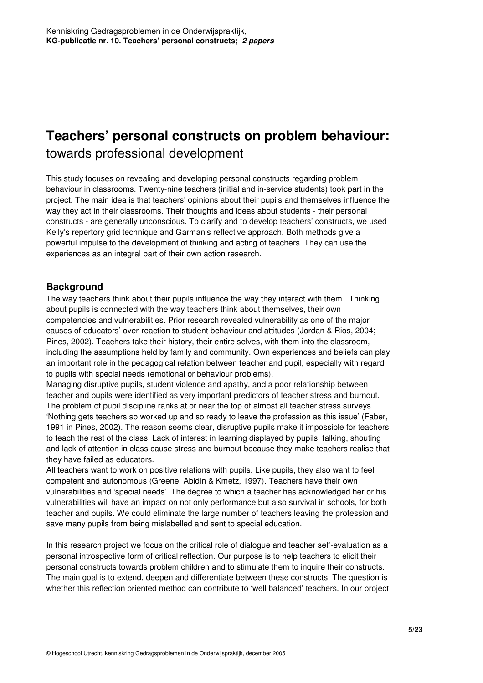# **Teachers' personal constructs on problem behaviour:** towards professional development

This study focuses on revealing and developing personal constructs regarding problem behaviour in classrooms. Twenty-nine teachers (initial and in-service students) took part in the project. The main idea is that teachers' opinions about their pupils and themselves influence the way they act in their classrooms. Their thoughts and ideas about students - their personal constructs - are generally unconscious. To clarify and to develop teachers' constructs, we used Kelly's repertory grid technique and Garman's reflective approach. Both methods give a powerful impulse to the development of thinking and acting of teachers. They can use the experiences as an integral part of their own action research.

### **Background**

The way teachers think about their pupils influence the way they interact with them. Thinking about pupils is connected with the way teachers think about themselves, their own competencies and vulnerabilities. Prior research revealed vulnerability as one of the major causes of educators' over-reaction to student behaviour and attitudes (Jordan & Rios, 2004; Pines, 2002). Teachers take their history, their entire selves, with them into the classroom, including the assumptions held by family and community. Own experiences and beliefs can play an important role in the pedagogical relation between teacher and pupil, especially with regard to pupils with special needs (emotional or behaviour problems).

Managing disruptive pupils, student violence and apathy, and a poor relationship between teacher and pupils were identified as very important predictors of teacher stress and burnout. The problem of pupil discipline ranks at or near the top of almost all teacher stress surveys. 'Nothing gets teachers so worked up and so ready to leave the profession as this issue' (Faber, 1991 in Pines, 2002). The reason seems clear, disruptive pupils make it impossible for teachers to teach the rest of the class. Lack of interest in learning displayed by pupils, talking, shouting and lack of attention in class cause stress and burnout because they make teachers realise that they have failed as educators.

All teachers want to work on positive relations with pupils. Like pupils, they also want to feel competent and autonomous (Greene, Abidin & Kmetz, 1997). Teachers have their own vulnerabilities and 'special needs'. The degree to which a teacher has acknowledged her or his vulnerabilities will have an impact on not only performance but also survival in schools, for both teacher and pupils. We could eliminate the large number of teachers leaving the profession and save many pupils from being mislabelled and sent to special education.

In this research project we focus on the critical role of dialogue and teacher self-evaluation as a personal introspective form of critical reflection. Our purpose is to help teachers to elicit their personal constructs towards problem children and to stimulate them to inquire their constructs. The main goal is to extend, deepen and differentiate between these constructs. The question is whether this reflection oriented method can contribute to 'well balanced' teachers. In our project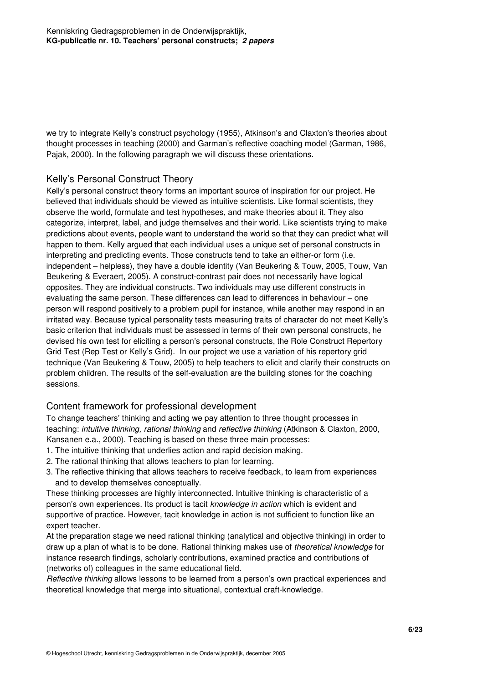we try to integrate Kelly's construct psychology (1955), Atkinson's and Claxton's theories about thought processes in teaching (2000) and Garman's reflective coaching model (Garman, 1986, Pajak, 2000). In the following paragraph we will discuss these orientations.

#### Kelly's Personal Construct Theory

Kelly's personal construct theory forms an important source of inspiration for our project. He believed that individuals should be viewed as intuitive scientists. Like formal scientists, they observe the world, formulate and test hypotheses, and make theories about it. They also categorize, interpret, label, and judge themselves and their world. Like scientists trying to make predictions about events, people want to understand the world so that they can predict what will happen to them. Kelly argued that each individual uses a unique set of personal constructs in interpreting and predicting events. Those constructs tend to take an either-or form (i.e. independent – helpless), they have a double identity (Van Beukering & Touw, 2005, Touw, Van Beukering & Everaert, 2005). A construct-contrast pair does not necessarily have logical opposites. They are individual constructs. Two individuals may use different constructs in evaluating the same person. These differences can lead to differences in behaviour – one person will respond positively to a problem pupil for instance, while another may respond in an irritated way. Because typical personality tests measuring traits of character do not meet Kelly's basic criterion that individuals must be assessed in terms of their own personal constructs, he devised his own test for eliciting a person's personal constructs, the Role Construct Repertory Grid Test (Rep Test or Kelly's Grid). In our project we use a variation of his repertory grid technique (Van Beukering & Touw, 2005) to help teachers to elicit and clarify their constructs on problem children. The results of the self-evaluation are the building stones for the coaching sessions.

### Content framework for professional development

To change teachers' thinking and acting we pay attention to three thought processes in teaching: intuitive thinking, rational thinking and reflective thinking (Atkinson & Claxton, 2000, Kansanen e.a., 2000). Teaching is based on these three main processes:

- 1. The intuitive thinking that underlies action and rapid decision making.
- 2. The rational thinking that allows teachers to plan for learning.
- 3. The reflective thinking that allows teachers to receive feedback, to learn from experiences and to develop themselves conceptually.

These thinking processes are highly interconnected. Intuitive thinking is characteristic of a person's own experiences. Its product is tacit knowledge in action which is evident and supportive of practice. However, tacit knowledge in action is not sufficient to function like an expert teacher.

At the preparation stage we need rational thinking (analytical and objective thinking) in order to draw up a plan of what is to be done. Rational thinking makes use of theoretical knowledge for instance research findings, scholarly contributions, examined practice and contributions of (networks of) colleagues in the same educational field.

Reflective thinking allows lessons to be learned from a person's own practical experiences and theoretical knowledge that merge into situational, contextual craft-knowledge.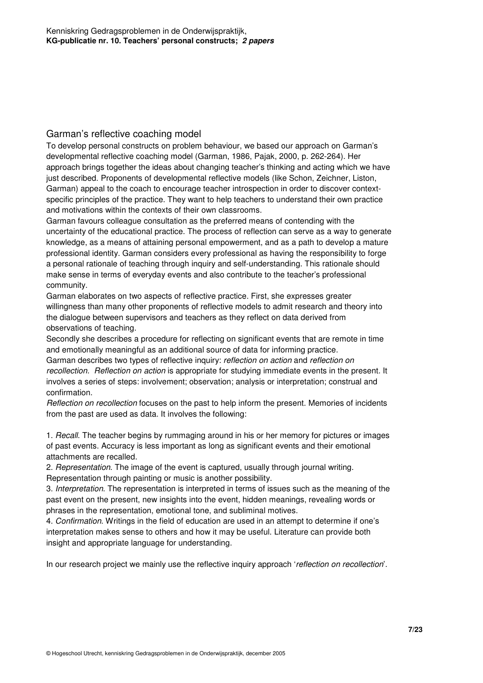#### Garman's reflective coaching model

To develop personal constructs on problem behaviour, we based our approach on Garman's developmental reflective coaching model (Garman, 1986, Pajak, 2000, p. 262-264). Her approach brings together the ideas about changing teacher's thinking and acting which we have just described. Proponents of developmental reflective models (like Schon, Zeichner, Liston, Garman) appeal to the coach to encourage teacher introspection in order to discover contextspecific principles of the practice. They want to help teachers to understand their own practice and motivations within the contexts of their own classrooms.

Garman favours colleague consultation as the preferred means of contending with the uncertainty of the educational practice. The process of reflection can serve as a way to generate knowledge, as a means of attaining personal empowerment, and as a path to develop a mature professional identity. Garman considers every professional as having the responsibility to forge a personal rationale of teaching through inquiry and self-understanding. This rationale should make sense in terms of everyday events and also contribute to the teacher's professional community.

Garman elaborates on two aspects of reflective practice. First, she expresses greater willingness than many other proponents of reflective models to admit research and theory into the dialogue between supervisors and teachers as they reflect on data derived from observations of teaching.

Secondly she describes a procedure for reflecting on significant events that are remote in time and emotionally meaningful as an additional source of data for informing practice.

Garman describes two types of reflective inquiry: reflection on action and reflection on recollection. Reflection on action is appropriate for studying immediate events in the present. It involves a series of steps: involvement; observation; analysis or interpretation; construal and confirmation.

Reflection on recollection focuses on the past to help inform the present. Memories of incidents from the past are used as data. It involves the following:

1. Recall. The teacher begins by rummaging around in his or her memory for pictures or images of past events. Accuracy is less important as long as significant events and their emotional attachments are recalled.

2. Representation. The image of the event is captured, usually through journal writing. Representation through painting or music is another possibility.

3. Interpretation. The representation is interpreted in terms of issues such as the meaning of the past event on the present, new insights into the event, hidden meanings, revealing words or phrases in the representation, emotional tone, and subliminal motives.

4. Confirmation. Writings in the field of education are used in an attempt to determine if one's interpretation makes sense to others and how it may be useful. Literature can provide both insight and appropriate language for understanding.

In our research project we mainly use the reflective inquiry approach 'reflection on recollection'.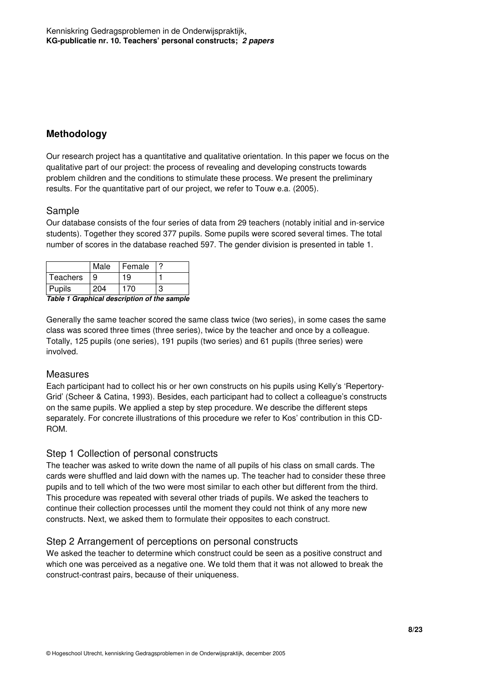# **Methodology**

Our research project has a quantitative and qualitative orientation. In this paper we focus on the qualitative part of our project: the process of revealing and developing constructs towards problem children and the conditions to stimulate these process. We present the preliminary results. For the quantitative part of our project, we refer to Touw e.a. (2005).

#### Sample

Our database consists of the four series of data from 29 teachers (notably initial and in-service students). Together they scored 377 pupils. Some pupils were scored several times. The total number of scores in the database reached 597. The gender division is presented in table 1.

| l Teachers                                                               | 9 | 19 |  |  |  |  |
|--------------------------------------------------------------------------|---|----|--|--|--|--|
| Pupils<br>204<br>170<br>З<br>Table 1 Graphical description of the sample |   |    |  |  |  |  |

Generally the same teacher scored the same class twice (two series), in some cases the same class was scored three times (three series), twice by the teacher and once by a colleague. Totally, 125 pupils (one series), 191 pupils (two series) and 61 pupils (three series) were involved.

#### Measures

Each participant had to collect his or her own constructs on his pupils using Kelly's 'Repertory-Grid' (Scheer & Catina, 1993). Besides, each participant had to collect a colleague's constructs on the same pupils. We applied a step by step procedure. We describe the different steps separately. For concrete illustrations of this procedure we refer to Kos' contribution in this CD-ROM.

#### Step 1 Collection of personal constructs

The teacher was asked to write down the name of all pupils of his class on small cards. The cards were shuffled and laid down with the names up. The teacher had to consider these three pupils and to tell which of the two were most similar to each other but different from the third. This procedure was repeated with several other triads of pupils. We asked the teachers to continue their collection processes until the moment they could not think of any more new constructs. Next, we asked them to formulate their opposites to each construct.

### Step 2 Arrangement of perceptions on personal constructs

We asked the teacher to determine which construct could be seen as a positive construct and which one was perceived as a negative one. We told them that it was not allowed to break the construct-contrast pairs, because of their uniqueness.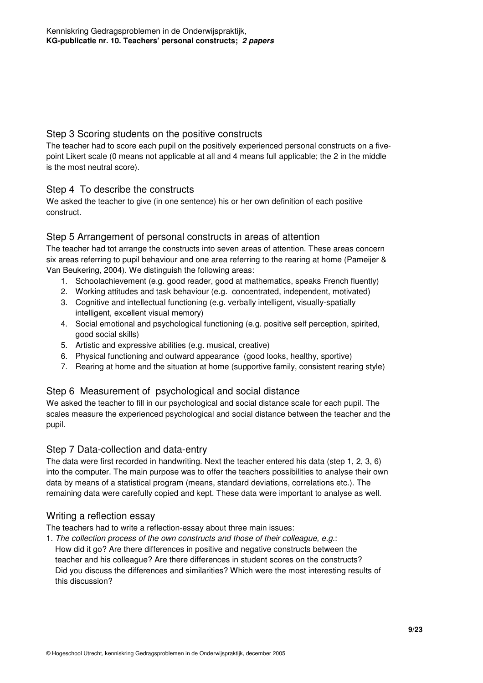#### Step 3 Scoring students on the positive constructs

The teacher had to score each pupil on the positively experienced personal constructs on a fivepoint Likert scale (0 means not applicable at all and 4 means full applicable; the 2 in the middle is the most neutral score).

### Step 4 To describe the constructs

We asked the teacher to give (in one sentence) his or her own definition of each positive construct.

#### Step 5 Arrangement of personal constructs in areas of attention

The teacher had tot arrange the constructs into seven areas of attention. These areas concern six areas referring to pupil behaviour and one area referring to the rearing at home (Pameijer & Van Beukering, 2004). We distinguish the following areas:

- 1. Schoolachievement (e.g. good reader, good at mathematics, speaks French fluently)
- 2. Working attitudes and task behaviour (e.g. concentrated, independent, motivated)
- 3. Cognitive and intellectual functioning (e.g. verbally intelligent, visually-spatially intelligent, excellent visual memory)
- 4. Social emotional and psychological functioning (e.g. positive self perception, spirited, good social skills)
- 5. Artistic and expressive abilities (e.g. musical, creative)
- 6. Physical functioning and outward appearance (good looks, healthy, sportive)
- 7. Rearing at home and the situation at home (supportive family, consistent rearing style)

### Step 6 Measurement of psychological and social distance

We asked the teacher to fill in our psychological and social distance scale for each pupil. The scales measure the experienced psychological and social distance between the teacher and the pupil.

#### Step 7 Data-collection and data-entry

The data were first recorded in handwriting. Next the teacher entered his data (step 1, 2, 3, 6) into the computer. The main purpose was to offer the teachers possibilities to analyse their own data by means of a statistical program (means, standard deviations, correlations etc.). The remaining data were carefully copied and kept. These data were important to analyse as well.

#### Writing a reflection essay

The teachers had to write a reflection-essay about three main issues:

1. The collection process of the own constructs and those of their colleague, e.g.: How did it go? Are there differences in positive and negative constructs between the teacher and his colleague? Are there differences in student scores on the constructs? Did you discuss the differences and similarities? Which were the most interesting results of this discussion?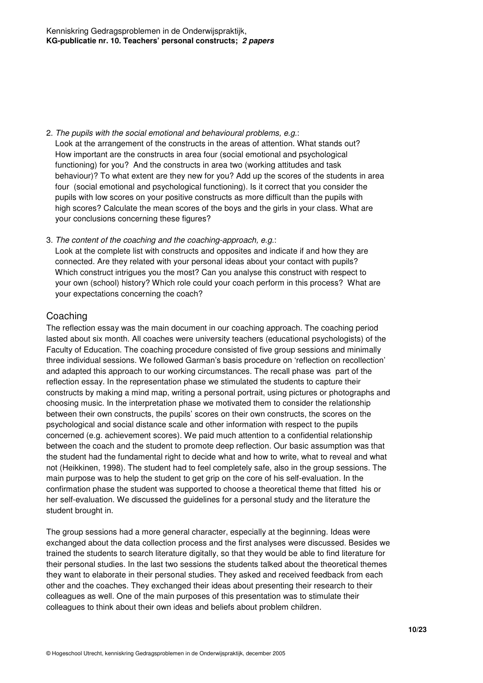2. The pupils with the social emotional and behavioural problems, e.g.:

 Look at the arrangement of the constructs in the areas of attention. What stands out? How important are the constructs in area four (social emotional and psychological functioning) for you? And the constructs in area two (working attitudes and task behaviour)? To what extent are they new for you? Add up the scores of the students in area four (social emotional and psychological functioning). Is it correct that you consider the pupils with low scores on your positive constructs as more difficult than the pupils with high scores? Calculate the mean scores of the boys and the girls in your class. What are your conclusions concerning these figures?

3. The content of the coaching and the coaching-approach, e.g.:

 Look at the complete list with constructs and opposites and indicate if and how they are connected. Are they related with your personal ideas about your contact with pupils? Which construct intrigues you the most? Can you analyse this construct with respect to your own (school) history? Which role could your coach perform in this process? What are your expectations concerning the coach?

### Coaching

The reflection essay was the main document in our coaching approach. The coaching period lasted about six month. All coaches were university teachers (educational psychologists) of the Faculty of Education. The coaching procedure consisted of five group sessions and minimally three individual sessions. We followed Garman's basis procedure on 'reflection on recollection' and adapted this approach to our working circumstances. The recall phase was part of the reflection essay. In the representation phase we stimulated the students to capture their constructs by making a mind map, writing a personal portrait, using pictures or photographs and choosing music. In the interpretation phase we motivated them to consider the relationship between their own constructs, the pupils' scores on their own constructs, the scores on the psychological and social distance scale and other information with respect to the pupils concerned (e.g. achievement scores). We paid much attention to a confidential relationship between the coach and the student to promote deep reflection. Our basic assumption was that the student had the fundamental right to decide what and how to write, what to reveal and what not (Heikkinen, 1998). The student had to feel completely safe, also in the group sessions. The main purpose was to help the student to get grip on the core of his self-evaluation. In the confirmation phase the student was supported to choose a theoretical theme that fitted his or her self-evaluation. We discussed the guidelines for a personal study and the literature the student brought in.

The group sessions had a more general character, especially at the beginning. Ideas were exchanged about the data collection process and the first analyses were discussed. Besides we trained the students to search literature digitally, so that they would be able to find literature for their personal studies. In the last two sessions the students talked about the theoretical themes they want to elaborate in their personal studies. They asked and received feedback from each other and the coaches. They exchanged their ideas about presenting their research to their colleagues as well. One of the main purposes of this presentation was to stimulate their colleagues to think about their own ideas and beliefs about problem children.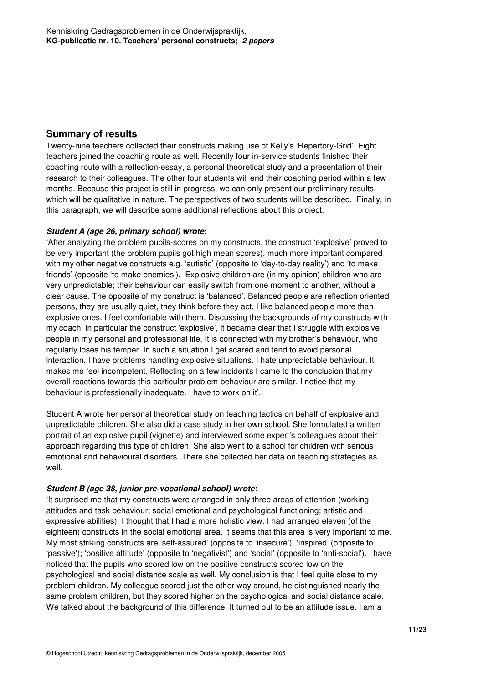#### **Summary of results**

Twenty-nine teachers collected their constructs making use of Kelly's 'Repertory-Grid'. Eight teachers joined the coaching route as well. Recently four in-service students finished their coaching route with a reflection-essay, a personal theoretical study and a presentation of their research to their colleagues. The other four students will end their coaching period within a few months. Because this project is still in progress, we can only present our preliminary results, which will be qualitative in nature. The perspectives of two students will be described. Finally, in this paragraph, we will describe some additional reflections about this project.

#### **Student A (age 26, primary school) wrote:**

'After analyzing the problem pupils-scores on my constructs, the construct 'explosive' proved to be very important (the problem pupils got high mean scores), much more important compared with my other negative constructs e.g. 'autistic' (opposite to 'day-to-day reality') and 'to make friends' (opposite 'to make enemies'). Explosive children are (in my opinion) children who are very unpredictable; their behaviour can easily switch from one moment to another, without a clear cause. The opposite of my construct is 'balanced'. Balanced people are reflection oriented persons, they are usually quiet, they think before they act. I like balanced people more than explosive ones. I feel comfortable with them. Discussing the backgrounds of my constructs with my coach, in particular the construct 'explosive', it became clear that I struggle with explosive people in my personal and professional life. It is connected with my brother's behaviour, who regularly loses his temper. In such a situation I get scared and tend to avoid personal interaction. I have problems handling explosive situations. I hate unpredictable behaviour. It makes me feel incompetent. Reflecting on a few incidents I came to the conclusion that my overall reactions towards this particular problem behaviour are similar. I notice that my behaviour is professionally inadequate. I have to work on it'.

Student A wrote her personal theoretical study on teaching tactics on behalf of explosive and unpredictable children. She also did a case study in her own school. She formulated a written portrait of an explosive pupil (vignette) and interviewed some expert's colleagues about their approach regarding this type of children. She also went to a school for children with serious emotional and behavioural disorders. There she collected her data on teaching strategies as well.

#### **Student B (age 38, junior pre-vocational school) wrote:**

'It surprised me that my constructs were arranged in only three areas of attention (working attitudes and task behaviour; social emotional and psychological functioning; artistic and expressive abilities). I thought that I had a more holistic view. I had arranged eleven (of the eighteen) constructs in the social emotional area. It seems that this area is very important to me. My most striking constructs are 'self-assured' (opposite to 'insecure'), 'inspired' (opposite to 'passive'); 'positive attitude' (opposite to 'negativist') and 'social' (opposite to 'anti-social'). I have noticed that the pupils who scored low on the positive constructs scored low on the psychological and social distance scale as well. My conclusion is that I feel quite close to my problem children. My colleague scored just the other way around, he distinguished nearly the same problem children, but they scored higher on the psychological and social distance scale. We talked about the background of this difference. It turned out to be an attitude issue. I am a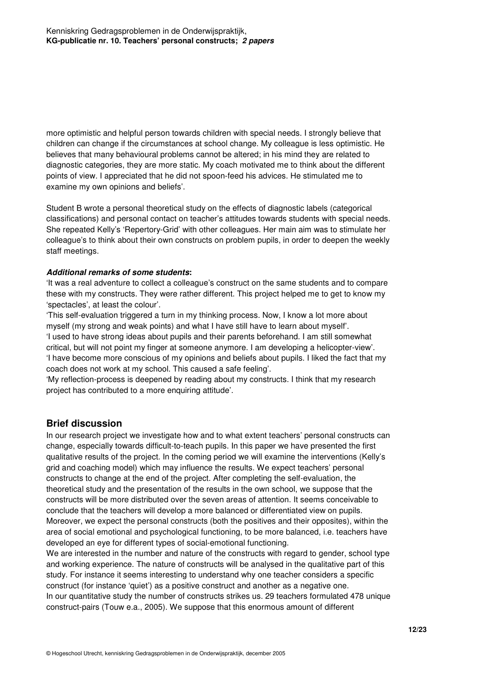more optimistic and helpful person towards children with special needs. I strongly believe that children can change if the circumstances at school change. My colleague is less optimistic. He believes that many behavioural problems cannot be altered; in his mind they are related to diagnostic categories, they are more static. My coach motivated me to think about the different points of view. I appreciated that he did not spoon-feed his advices. He stimulated me to examine my own opinions and beliefs'.

Student B wrote a personal theoretical study on the effects of diagnostic labels (categorical classifications) and personal contact on teacher's attitudes towards students with special needs. She repeated Kelly's 'Repertory-Grid' with other colleagues. Her main aim was to stimulate her colleague's to think about their own constructs on problem pupils, in order to deepen the weekly staff meetings.

#### **Additional remarks of some students:**

'It was a real adventure to collect a colleague's construct on the same students and to compare these with my constructs. They were rather different. This project helped me to get to know my 'spectacles', at least the colour'.

'This self-evaluation triggered a turn in my thinking process. Now, I know a lot more about myself (my strong and weak points) and what I have still have to learn about myself'. 'I used to have strong ideas about pupils and their parents beforehand. I am still somewhat critical, but will not point my finger at someone anymore. I am developing a helicopter-view'. 'I have become more conscious of my opinions and beliefs about pupils. I liked the fact that my coach does not work at my school. This caused a safe feeling'.

'My reflection-process is deepened by reading about my constructs. I think that my research project has contributed to a more enquiring attitude'.

#### **Brief discussion**

In our research project we investigate how and to what extent teachers' personal constructs can change, especially towards difficult-to-teach pupils. In this paper we have presented the first qualitative results of the project. In the coming period we will examine the interventions (Kelly's grid and coaching model) which may influence the results. We expect teachers' personal constructs to change at the end of the project. After completing the self-evaluation, the theoretical study and the presentation of the results in the own school, we suppose that the constructs will be more distributed over the seven areas of attention. It seems conceivable to conclude that the teachers will develop a more balanced or differentiated view on pupils. Moreover, we expect the personal constructs (both the positives and their opposites), within the area of social emotional and psychological functioning, to be more balanced, i.e. teachers have developed an eye for different types of social-emotional functioning.

We are interested in the number and nature of the constructs with regard to gender, school type and working experience. The nature of constructs will be analysed in the qualitative part of this study. For instance it seems interesting to understand why one teacher considers a specific construct (for instance 'quiet') as a positive construct and another as a negative one. In our quantitative study the number of constructs strikes us. 29 teachers formulated 478 unique construct-pairs (Touw e.a., 2005). We suppose that this enormous amount of different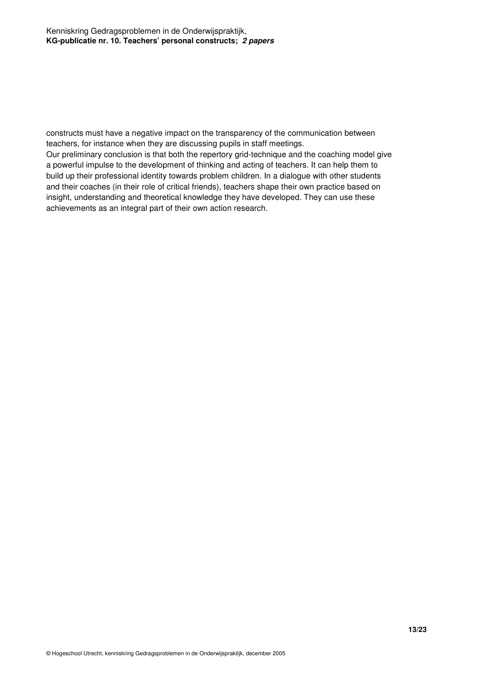constructs must have a negative impact on the transparency of the communication between teachers, for instance when they are discussing pupils in staff meetings.

Our preliminary conclusion is that both the repertory grid-technique and the coaching model give a powerful impulse to the development of thinking and acting of teachers. It can help them to build up their professional identity towards problem children. In a dialogue with other students and their coaches (in their role of critical friends), teachers shape their own practice based on insight, understanding and theoretical knowledge they have developed. They can use these achievements as an integral part of their own action research.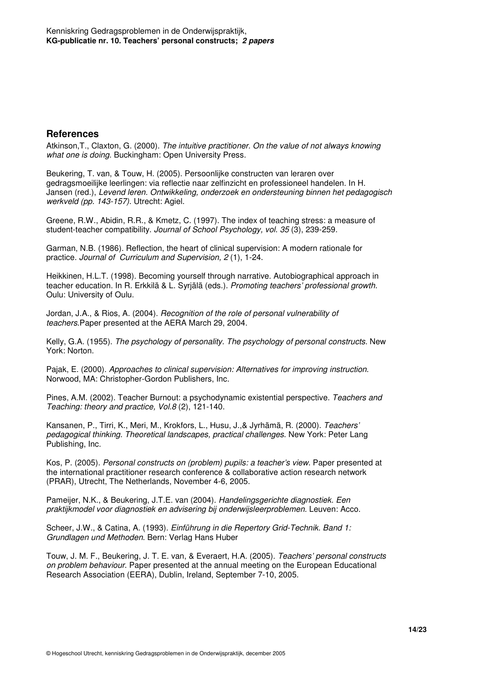#### **References**

Atkinson,T., Claxton, G. (2000). The intuitive practitioner. On the value of not always knowing what one is doing. Buckingham: Open University Press.

Beukering, T. van, & Touw, H. (2005). Persoonlijke constructen van leraren over gedragsmoeilijke leerlingen: via reflectie naar zelfinzicht en professioneel handelen. In H. Jansen (red.), Levend leren. Ontwikkeling, onderzoek en ondersteuning binnen het pedagogisch werkveld (pp. 143-157). Utrecht: Agiel.

Greene, R.W., Abidin, R.R., & Kmetz, C. (1997). The index of teaching stress: a measure of student-teacher compatibility. Journal of School Psychology, vol. 35 (3), 239-259.

Garman, N.B. (1986). Reflection, the heart of clinical supervision: A modern rationale for practice. Journal of Curriculum and Supervision, 2 (1), 1-24.

Heikkinen, H.L.T. (1998). Becoming yourself through narrative. Autobiographical approach in teacher education. In R. Erkkilä & L. Syrjälä (eds.). Promoting teachers' professional growth. Oulu: University of Oulu.

Jordan, J.A., & Rios, A. (2004). Recognition of the role of personal vulnerability of teachers.Paper presented at the AERA March 29, 2004.

Kelly, G.A. (1955). The psychology of personality. The psychology of personal constructs. New York: Norton.

Pajak, E. (2000). Approaches to clinical supervision: Alternatives for improving instruction. Norwood, MA: Christopher-Gordon Publishers, Inc.

Pines, A.M. (2002). Teacher Burnout: a psychodynamic existential perspective. Teachers and Teaching: theory and practice, Vol.8 (2), 121-140.

Kansanen, P., Tirri, K., Meri, M., Krokfors, L., Husu, J.,& Jyrhämä, R. (2000). Teachers' pedagogical thinking. Theoretical landscapes, practical challenges. New York: Peter Lang Publishing, Inc.

Kos, P. (2005). Personal constructs on (problem) pupils: a teacher's view. Paper presented at the international practitioner research conference & collaborative action research network (PRAR), Utrecht, The Netherlands, November 4-6, 2005.

Pameijer, N.K., & Beukering, J.T.E. van (2004). Handelingsgerichte diagnostiek. Een praktijkmodel voor diagnostiek en advisering bij onderwijsleerproblemen. Leuven: Acco.

Scheer, J.W., & Catina, A. (1993). Einführung in die Repertory Grid-Technik. Band 1: Grundlagen und Methoden. Bern: Verlag Hans Huber

Touw, J. M. F., Beukering, J. T. E. van, & Everaert, H.A. (2005). Teachers' personal constructs on problem behaviour. Paper presented at the annual meeting on the European Educational Research Association (EERA), Dublin, Ireland, September 7-10, 2005.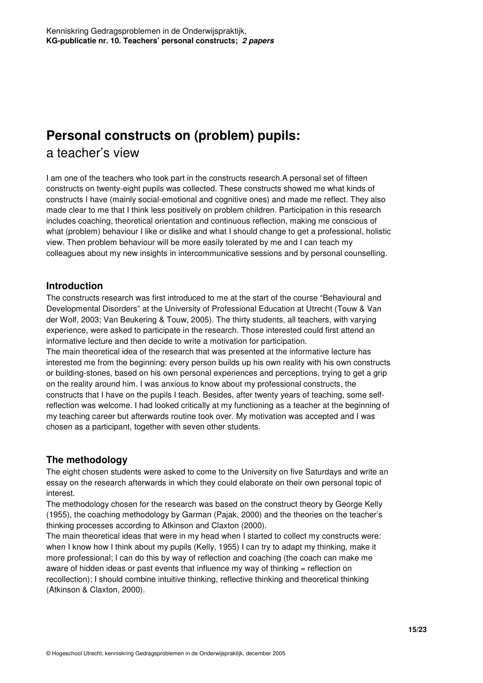# **Personal constructs on (problem) pupils:**

# a teacher's view

I am one of the teachers who took part in the constructs research.A personal set of fifteen constructs on twenty-eight pupils was collected. These constructs showed me what kinds of constructs I have (mainly social-emotional and cognitive ones) and made me reflect. They also made clear to me that I think less positively on problem children. Participation in this research includes coaching, theoretical orientation and continuous reflection, making me conscious of what (problem) behaviour I like or dislike and what I should change to get a professional, holistic view. Then problem behaviour will be more easily tolerated by me and I can teach my colleagues about my new insights in intercommunicative sessions and by personal counselling.

## **Introduction**

The constructs research was first introduced to me at the start of the course "Behavioural and Developmental Disorders" at the University of Professional Education at Utrecht (Touw & Van der Wolf, 2003; Van Beukering & Touw, 2005). The thirty students, all teachers, with varying experience, were asked to participate in the research. Those interested could first attend an informative lecture and then decide to write a motivation for participation.

The main theoretical idea of the research that was presented at the informative lecture has interested me from the beginning: every person builds up his own reality with his own constructs or building-stones, based on his own personal experiences and perceptions, trying to get a grip on the reality around him. I was anxious to know about my professional constructs, the constructs that I have on the pupils I teach. Besides, after twenty years of teaching, some selfreflection was welcome. I had looked critically at my functioning as a teacher at the beginning of my teaching career but afterwards routine took over. My motivation was accepted and I was chosen as a participant, together with seven other students.

# **The methodology**

The eight chosen students were asked to come to the University on five Saturdays and write an essay on the research afterwards in which they could elaborate on their own personal topic of interest.

The methodology chosen for the research was based on the construct theory by George Kelly (1955), the coaching methodology by Garman (Pajak, 2000) and the theories on the teacher's thinking processes according to Atkinson and Claxton (2000).

The main theoretical ideas that were in my head when I started to collect my constructs were: when I know how I think about my pupils (Kelly, 1955) I can try to adapt my thinking, make it more professional; I can do this by way of reflection and coaching (the coach can make me aware of hidden ideas or past events that influence my way of thinking = reflection on recollection); I should combine intuitive thinking, reflective thinking and theoretical thinking (Atkinson & Claxton, 2000).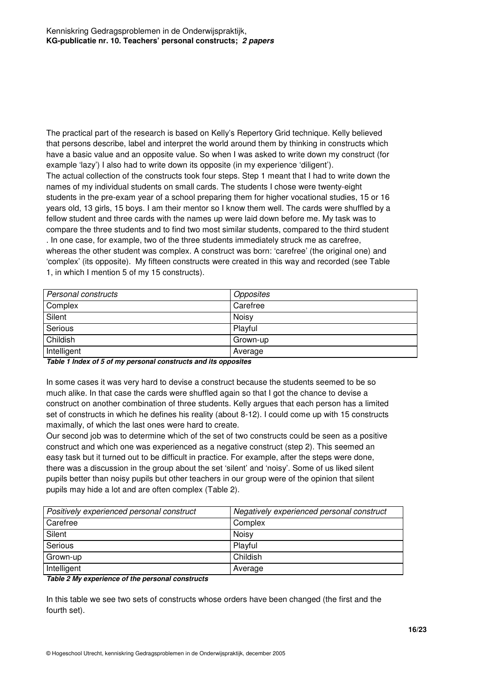The practical part of the research is based on Kelly's Repertory Grid technique. Kelly believed that persons describe, label and interpret the world around them by thinking in constructs which have a basic value and an opposite value. So when I was asked to write down my construct (for example 'lazy') I also had to write down its opposite (in my experience 'diligent'). The actual collection of the constructs took four steps. Step 1 meant that I had to write down the names of my individual students on small cards. The students I chose were twenty-eight students in the pre-exam year of a school preparing them for higher vocational studies, 15 or 16 years old, 13 girls, 15 boys. I am their mentor so I know them well. The cards were shuffled by a fellow student and three cards with the names up were laid down before me. My task was to compare the three students and to find two most similar students, compared to the third student . In one case, for example, two of the three students immediately struck me as carefree, whereas the other student was complex. A construct was born: 'carefree' (the original one) and 'complex' (its opposite). My fifteen constructs were created in this way and recorded (see Table 1, in which I mention 5 of my 15 constructs).

| Personal constructs | Opposites |
|---------------------|-----------|
| Complex             | Carefree  |
| Silent              | Noisy     |
| Serious             | Playful   |
| Childish            | Grown-up  |
| Intelligent         | Average   |

**Table 1 Index of 5 of my personal constructs and its opposites** 

In some cases it was very hard to devise a construct because the students seemed to be so much alike. In that case the cards were shuffled again so that I got the chance to devise a construct on another combination of three students. Kelly argues that each person has a limited set of constructs in which he defines his reality (about 8-12). I could come up with 15 constructs maximally, of which the last ones were hard to create.

Our second job was to determine which of the set of two constructs could be seen as a positive construct and which one was experienced as a negative construct (step 2). This seemed an easy task but it turned out to be difficult in practice. For example, after the steps were done, there was a discussion in the group about the set 'silent' and 'noisy'. Some of us liked silent pupils better than noisy pupils but other teachers in our group were of the opinion that silent pupils may hide a lot and are often complex (Table 2).

| Positively experienced personal construct | Negatively experienced personal construct |
|-------------------------------------------|-------------------------------------------|
| Carefree                                  | Complex                                   |
| Silent                                    | Noisv                                     |
| Serious                                   | Plavful                                   |
| Grown-up                                  | Childish                                  |
| Intelligent                               | Average                                   |

#### **Table 2 My experience of the personal constructs**

In this table we see two sets of constructs whose orders have been changed (the first and the fourth set).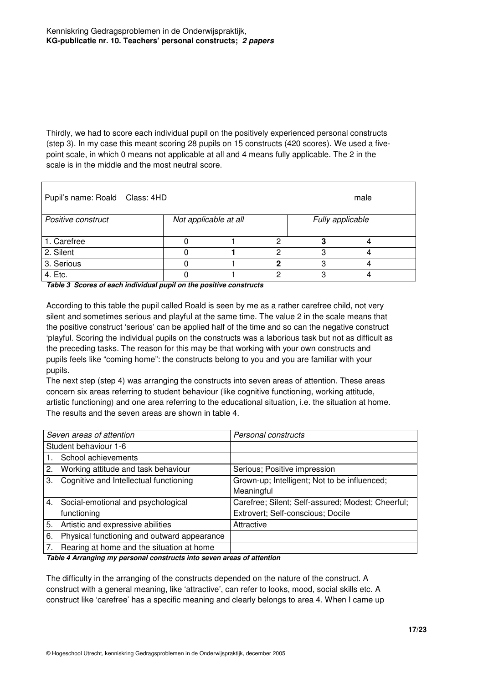Thirdly, we had to score each individual pupil on the positively experienced personal constructs (step 3). In my case this meant scoring 28 pupils on 15 constructs (420 scores). We used a fivepoint scale, in which 0 means not applicable at all and 4 means fully applicable. The 2 in the scale is in the middle and the most neutral score.

| Pupil's name: Roald Class: 4HD<br>male |  |                       |   |                  |  |  |
|----------------------------------------|--|-----------------------|---|------------------|--|--|
| Positive construct                     |  | Not applicable at all |   | Fully applicable |  |  |
| 1. Carefree                            |  |                       | ∩ | ŋ                |  |  |
| 2. Silent                              |  |                       |   | כי               |  |  |
| 3. Serious                             |  |                       |   | з                |  |  |
| 4. Etc.                                |  |                       | n | っ                |  |  |

**Table 3 Scores of each individual pupil on the positive constructs** 

According to this table the pupil called Roald is seen by me as a rather carefree child, not very silent and sometimes serious and playful at the same time. The value 2 in the scale means that the positive construct 'serious' can be applied half of the time and so can the negative construct 'playful. Scoring the individual pupils on the constructs was a laborious task but not as difficult as the preceding tasks. The reason for this may be that working with your own constructs and pupils feels like "coming home": the constructs belong to you and you are familiar with your pupils.

The next step (step 4) was arranging the constructs into seven areas of attention. These areas concern six areas referring to student behaviour (like cognitive functioning, working attitude, artistic functioning) and one area referring to the educational situation, i.e. the situation at home. The results and the seven areas are shown in table 4.

| Seven areas of attention |                                                   | Personal constructs                                                                    |
|--------------------------|---------------------------------------------------|----------------------------------------------------------------------------------------|
| Student behaviour 1-6    |                                                   |                                                                                        |
|                          | School achievements                               |                                                                                        |
| 2.                       | Working attitude and task behaviour               | Serious; Positive impression                                                           |
| 3.                       | Cognitive and Intellectual functioning            | Grown-up; Intelligent; Not to be influenced;<br>Meaningful                             |
| 4.                       | Social-emotional and psychological<br>functioning | Carefree; Silent; Self-assured; Modest; Cheerful;<br>Extrovert; Self-conscious; Docile |
| 5.                       | Artistic and expressive abilities                 | Attractive                                                                             |
| 6.                       | Physical functioning and outward appearance       |                                                                                        |
|                          | Rearing at home and the situation at home         |                                                                                        |

**Table 4 Arranging my personal constructs into seven areas of attention** 

The difficulty in the arranging of the constructs depended on the nature of the construct. A construct with a general meaning, like 'attractive', can refer to looks, mood, social skills etc. A construct like 'carefree' has a specific meaning and clearly belongs to area 4. When I came up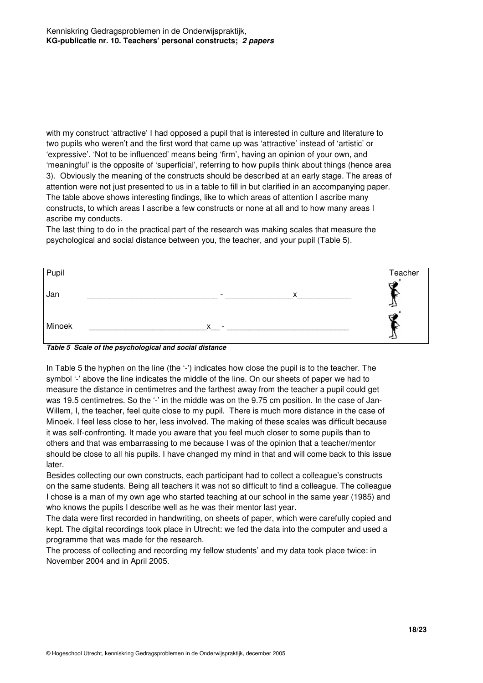with my construct 'attractive' I had opposed a pupil that is interested in culture and literature to two pupils who weren't and the first word that came up was 'attractive' instead of 'artistic' or 'expressive'. 'Not to be influenced' means being 'firm', having an opinion of your own, and 'meaningful' is the opposite of 'superficial', referring to how pupils think about things (hence area 3). Obviously the meaning of the constructs should be described at an early stage. The areas of attention were not just presented to us in a table to fill in but clarified in an accompanying paper. The table above shows interesting findings, like to which areas of attention I ascribe many constructs, to which areas I ascribe a few constructs or none at all and to how many areas I ascribe my conducts.

The last thing to do in the practical part of the research was making scales that measure the psychological and social distance between you, the teacher, and your pupil (Table 5).

| Pupil  |                                          | Teacher |
|--------|------------------------------------------|---------|
| Jan    | $\checkmark$<br>$\overline{\phantom{a}}$ |         |
| Minoek | $\checkmark$                             |         |



In Table 5 the hyphen on the line (the '-') indicates how close the pupil is to the teacher. The symbol '-' above the line indicates the middle of the line. On our sheets of paper we had to measure the distance in centimetres and the farthest away from the teacher a pupil could get was 19.5 centimetres. So the '-' in the middle was on the 9.75 cm position. In the case of Jan-Willem, I, the teacher, feel quite close to my pupil. There is much more distance in the case of Minoek. I feel less close to her, less involved. The making of these scales was difficult because it was self-confronting. It made you aware that you feel much closer to some pupils than to others and that was embarrassing to me because I was of the opinion that a teacher/mentor should be close to all his pupils. I have changed my mind in that and will come back to this issue later.

Besides collecting our own constructs, each participant had to collect a colleague's constructs on the same students. Being all teachers it was not so difficult to find a colleague. The colleague I chose is a man of my own age who started teaching at our school in the same year (1985) and who knows the pupils I describe well as he was their mentor last year.

The data were first recorded in handwriting, on sheets of paper, which were carefully copied and kept. The digital recordings took place in Utrecht: we fed the data into the computer and used a programme that was made for the research.

The process of collecting and recording my fellow students' and my data took place twice: in November 2004 and in April 2005.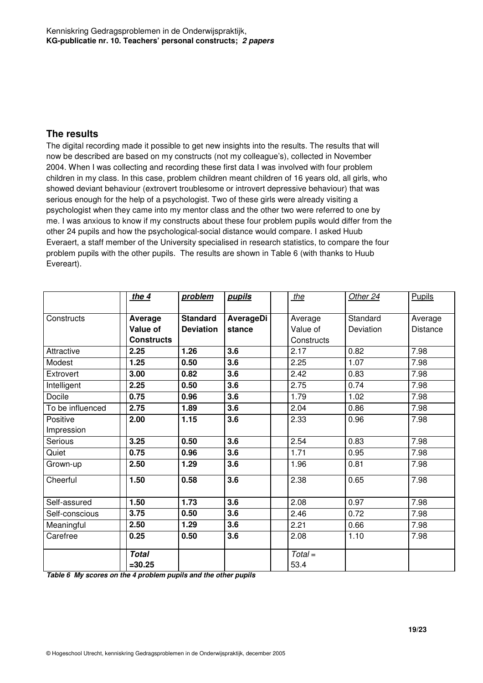#### **The results**

The digital recording made it possible to get new insights into the results. The results that will now be described are based on my constructs (not my colleague's), collected in November 2004. When I was collecting and recording these first data I was involved with four problem children in my class. In this case, problem children meant children of 16 years old, all girls, who showed deviant behaviour (extrovert troublesome or introvert depressive behaviour) that was serious enough for the help of a psychologist. Two of these girls were already visiting a psychologist when they came into my mentor class and the other two were referred to one by me. I was anxious to know if my constructs about these four problem pupils would differ from the other 24 pupils and how the psychological-social distance would compare. I asked Huub Everaert, a staff member of the University specialised in research statistics, to compare the four problem pupils with the other pupils. The results are shown in Table 6 (with thanks to Huub Evereart).

|                  | the $4$           | problem          | pupils    | the        | Other 24  | Pupils   |
|------------------|-------------------|------------------|-----------|------------|-----------|----------|
|                  |                   |                  |           |            |           |          |
| Constructs       | Average           | <b>Standard</b>  | AverageDi | Average    | Standard  | Average  |
|                  | <b>Value of</b>   | <b>Deviation</b> | stance    | Value of   | Deviation | Distance |
|                  | <b>Constructs</b> |                  |           | Constructs |           |          |
| Attractive       | 2.25              | 1.26             | 3.6       | 2.17       | 0.82      | 7.98     |
| Modest           | 1.25              | 0.50             | 3.6       | 2.25       | 1.07      | 7.98     |
| Extrovert        | 3.00              | 0.82             | 3.6       | 2.42       | 0.83      | 7.98     |
| Intelligent      | 2.25              | 0.50             | 3.6       | 2.75       | 0.74      | 7.98     |
| Docile           | 0.75              | 0.96             | 3.6       | 1.79       | 1.02      | 7.98     |
| To be influenced | 2.75              | 1.89             | 3.6       | 2.04       | 0.86      | 7.98     |
| Positive         | 2.00              | 1.15             | 3.6       | 2.33       | 0.96      | 7.98     |
| Impression       |                   |                  |           |            |           |          |
| Serious          | 3.25              | 0.50             | 3.6       | 2.54       | 0.83      | 7.98     |
| Quiet            | 0.75              | 0.96             | 3.6       | 1.71       | 0.95      | 7.98     |
| Grown-up         | 2.50              | 1.29             | 3.6       | 1.96       | 0.81      | 7.98     |
| Cheerful         | 1.50              | 0.58             | 3.6       | 2.38       | 0.65      | 7.98     |
| Self-assured     | 1.50              | 1.73             | 3.6       | 2.08       | 0.97      | 7.98     |
| Self-conscious   | 3.75              | 0.50             | 3.6       | 2.46       | 0.72      | 7.98     |
| Meaningful       | 2.50              | 1.29             | 3.6       | 2.21       | 0.66      | 7.98     |
| Carefree         | 0.25              | 0.50             | 3.6       | 2.08       | 1.10      | 7.98     |
|                  | <b>Total</b>      |                  |           | $Total =$  |           |          |
|                  | $= 30.25$         |                  |           | 53.4       |           |          |

**Table 6 My scores on the 4 problem pupils and the other pupils**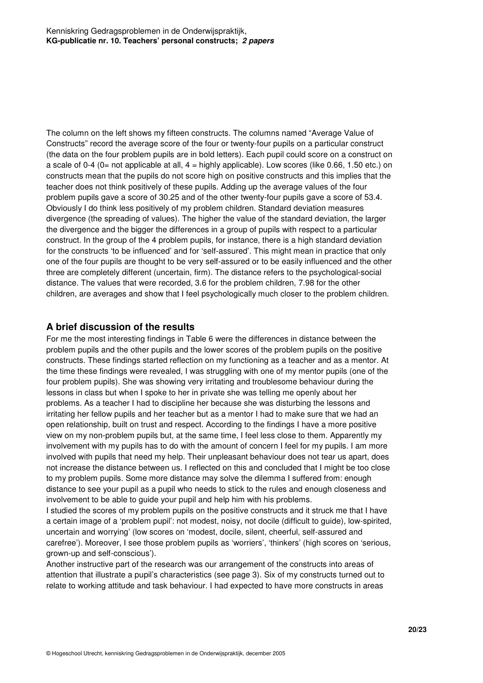The column on the left shows my fifteen constructs. The columns named "Average Value of Constructs" record the average score of the four or twenty-four pupils on a particular construct (the data on the four problem pupils are in bold letters). Each pupil could score on a construct on a scale of 0-4 (0= not applicable at all,  $4 =$  highly applicable). Low scores (like 0.66, 1.50 etc.) on constructs mean that the pupils do not score high on positive constructs and this implies that the teacher does not think positively of these pupils. Adding up the average values of the four problem pupils gave a score of 30.25 and of the other twenty-four pupils gave a score of 53.4. Obviously I do think less positively of my problem children. Standard deviation measures divergence (the spreading of values). The higher the value of the standard deviation, the larger the divergence and the bigger the differences in a group of pupils with respect to a particular construct. In the group of the 4 problem pupils, for instance, there is a high standard deviation for the constructs 'to be influenced' and for 'self-assured'. This might mean in practice that only one of the four pupils are thought to be very self-assured or to be easily influenced and the other three are completely different (uncertain, firm). The distance refers to the psychological-social distance. The values that were recorded, 3.6 for the problem children, 7.98 for the other children, are averages and show that I feel psychologically much closer to the problem children.

#### **A brief discussion of the results**

For me the most interesting findings in Table 6 were the differences in distance between the problem pupils and the other pupils and the lower scores of the problem pupils on the positive constructs. These findings started reflection on my functioning as a teacher and as a mentor. At the time these findings were revealed, I was struggling with one of my mentor pupils (one of the four problem pupils). She was showing very irritating and troublesome behaviour during the lessons in class but when I spoke to her in private she was telling me openly about her problems. As a teacher I had to discipline her because she was disturbing the lessons and irritating her fellow pupils and her teacher but as a mentor I had to make sure that we had an open relationship, built on trust and respect. According to the findings I have a more positive view on my non-problem pupils but, at the same time, I feel less close to them. Apparently my involvement with my pupils has to do with the amount of concern I feel for my pupils. I am more involved with pupils that need my help. Their unpleasant behaviour does not tear us apart, does not increase the distance between us. I reflected on this and concluded that I might be too close to my problem pupils. Some more distance may solve the dilemma I suffered from: enough distance to see your pupil as a pupil who needs to stick to the rules and enough closeness and involvement to be able to guide your pupil and help him with his problems.

I studied the scores of my problem pupils on the positive constructs and it struck me that I have a certain image of a 'problem pupil': not modest, noisy, not docile (difficult to guide), low-spirited, uncertain and worrying' (low scores on 'modest, docile, silent, cheerful, self-assured and carefree'). Moreover, I see those problem pupils as 'worriers', 'thinkers' (high scores on 'serious, grown-up and self-conscious').

Another instructive part of the research was our arrangement of the constructs into areas of attention that illustrate a pupil's characteristics (see page 3). Six of my constructs turned out to relate to working attitude and task behaviour. I had expected to have more constructs in areas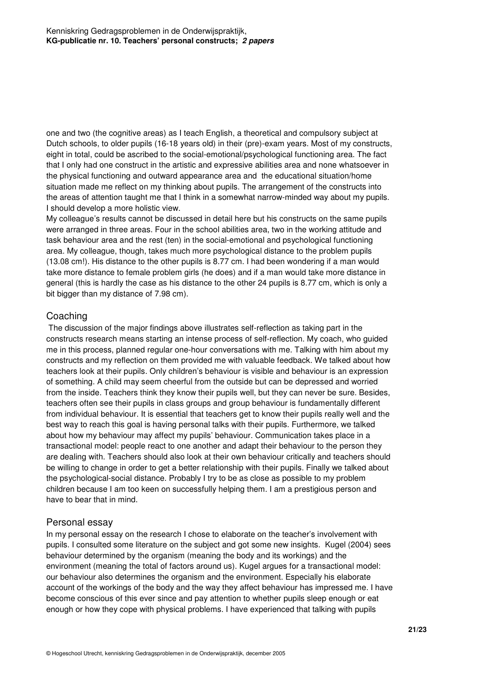one and two (the cognitive areas) as I teach English, a theoretical and compulsory subject at Dutch schools, to older pupils (16-18 years old) in their (pre)-exam years. Most of my constructs, eight in total, could be ascribed to the social-emotional/psychological functioning area. The fact that I only had one construct in the artistic and expressive abilities area and none whatsoever in the physical functioning and outward appearance area and the educational situation/home situation made me reflect on my thinking about pupils. The arrangement of the constructs into the areas of attention taught me that I think in a somewhat narrow-minded way about my pupils. I should develop a more holistic view.

My colleague's results cannot be discussed in detail here but his constructs on the same pupils were arranged in three areas. Four in the school abilities area, two in the working attitude and task behaviour area and the rest (ten) in the social-emotional and psychological functioning area. My colleague, though, takes much more psychological distance to the problem pupils (13.08 cm!). His distance to the other pupils is 8.77 cm. I had been wondering if a man would take more distance to female problem girls (he does) and if a man would take more distance in general (this is hardly the case as his distance to the other 24 pupils is 8.77 cm, which is only a bit bigger than my distance of 7.98 cm).

#### **Coaching**

 The discussion of the major findings above illustrates self-reflection as taking part in the constructs research means starting an intense process of self-reflection. My coach, who guided me in this process, planned regular one-hour conversations with me. Talking with him about my constructs and my reflection on them provided me with valuable feedback. We talked about how teachers look at their pupils. Only children's behaviour is visible and behaviour is an expression of something. A child may seem cheerful from the outside but can be depressed and worried from the inside. Teachers think they know their pupils well, but they can never be sure. Besides, teachers often see their pupils in class groups and group behaviour is fundamentally different from individual behaviour. It is essential that teachers get to know their pupils really well and the best way to reach this goal is having personal talks with their pupils. Furthermore, we talked about how my behaviour may affect my pupils' behaviour. Communication takes place in a transactional model: people react to one another and adapt their behaviour to the person they are dealing with. Teachers should also look at their own behaviour critically and teachers should be willing to change in order to get a better relationship with their pupils. Finally we talked about the psychological-social distance. Probably I try to be as close as possible to my problem children because I am too keen on successfully helping them. I am a prestigious person and have to bear that in mind.

### Personal essay

In my personal essay on the research I chose to elaborate on the teacher's involvement with pupils. I consulted some literature on the subject and got some new insights. Kugel (2004) sees behaviour determined by the organism (meaning the body and its workings) and the environment (meaning the total of factors around us). Kugel argues for a transactional model: our behaviour also determines the organism and the environment. Especially his elaborate account of the workings of the body and the way they affect behaviour has impressed me. I have become conscious of this ever since and pay attention to whether pupils sleep enough or eat enough or how they cope with physical problems. I have experienced that talking with pupils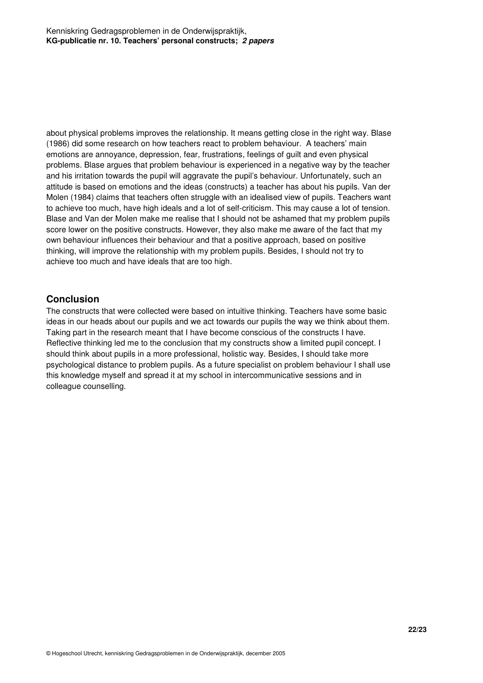about physical problems improves the relationship. It means getting close in the right way. Blase (1986) did some research on how teachers react to problem behaviour. A teachers' main emotions are annoyance, depression, fear, frustrations, feelings of guilt and even physical problems. Blase argues that problem behaviour is experienced in a negative way by the teacher and his irritation towards the pupil will aggravate the pupil's behaviour. Unfortunately, such an attitude is based on emotions and the ideas (constructs) a teacher has about his pupils. Van der Molen (1984) claims that teachers often struggle with an idealised view of pupils. Teachers want to achieve too much, have high ideals and a lot of self-criticism. This may cause a lot of tension. Blase and Van der Molen make me realise that I should not be ashamed that my problem pupils score lower on the positive constructs. However, they also make me aware of the fact that my own behaviour influences their behaviour and that a positive approach, based on positive thinking, will improve the relationship with my problem pupils. Besides, I should not try to achieve too much and have ideals that are too high.

### **Conclusion**

The constructs that were collected were based on intuitive thinking. Teachers have some basic ideas in our heads about our pupils and we act towards our pupils the way we think about them. Taking part in the research meant that I have become conscious of the constructs I have. Reflective thinking led me to the conclusion that my constructs show a limited pupil concept. I should think about pupils in a more professional, holistic way. Besides, I should take more psychological distance to problem pupils. As a future specialist on problem behaviour I shall use this knowledge myself and spread it at my school in intercommunicative sessions and in colleague counselling.